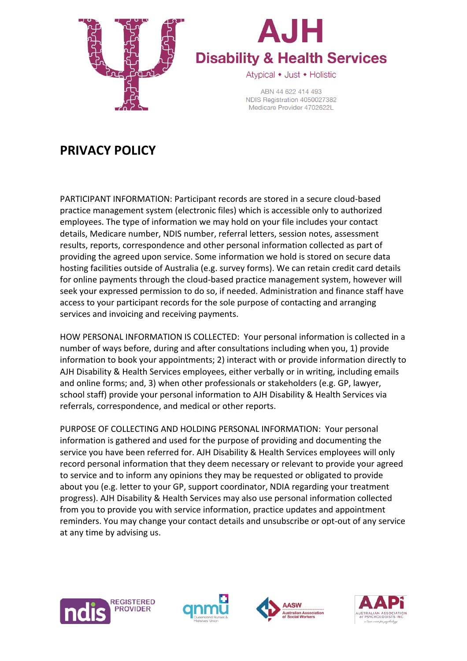



ABN 44 622 414 493 NDIS Registration 4050027382 Medicare Provider 4702622L

## **PRIVACY POLICY**

PARTICIPANT INFORMATION: Participant records are stored in a secure cloud-based practice management system (electronic files) which is accessible only to authorized employees. The type of information we may hold on your file includes your contact details, Medicare number, NDIS number, referral letters, session notes, assessment results, reports, correspondence and other personal information collected as part of providing the agreed upon service. Some information we hold is stored on secure data hosting facilities outside of Australia (e.g. survey forms). We can retain credit card details for online payments through the cloud-based practice management system, however will seek your expressed permission to do so, if needed. Administration and finance staff have access to your participant records for the sole purpose of contacting and arranging services and invoicing and receiving payments.

HOW PERSONAL INFORMATION IS COLLECTED: Your personal information is collected in a number of ways before, during and after consultations including when you, 1) provide information to book your appointments; 2) interact with or provide information directly to AJH Disability & Health Services employees, either verbally or in writing, including emails and online forms; and, 3) when other professionals or stakeholders (e.g. GP, lawyer, school staff) provide your personal information to AJH Disability & Health Services via referrals, correspondence, and medical or other reports.

PURPOSE OF COLLECTING AND HOLDING PERSONAL INFORMATION: Your personal information is gathered and used for the purpose of providing and documenting the service you have been referred for. AJH Disability & Health Services employees will only record personal information that they deem necessary or relevant to provide your agreed to service and to inform any opinions they may be requested or obligated to provide about you (e.g. letter to your GP, support coordinator, NDIA regarding your treatment progress). AJH Disability & Health Services may also use personal information collected from you to provide you with service information, practice updates and appointment reminders. You may change your contact details and unsubscribe or opt-out of any service at any time by advising us.







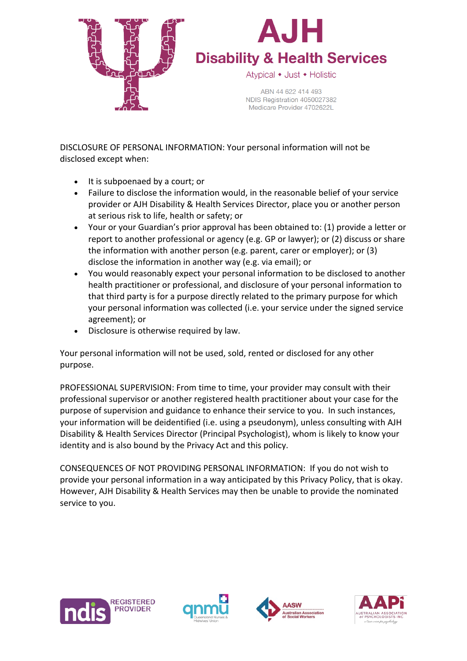



ABN 44 622 414 493 NDIS Registration 4050027382 Medicare Provider 4702622L

DISCLOSURE OF PERSONAL INFORMATION: Your personal information will not be disclosed except when:

- It is subpoenaed by a court; or
- Failure to disclose the information would, in the reasonable belief of your service provider or AJH Disability & Health Services Director, place you or another person at serious risk to life, health or safety; or
- Your or your Guardian's prior approval has been obtained to: (1) provide a letter or report to another professional or agency (e.g. GP or lawyer); or (2) discuss or share the information with another person (e.g. parent, carer or employer); or (3) disclose the information in another way (e.g. via email); or
- You would reasonably expect your personal information to be disclosed to another health practitioner or professional, and disclosure of your personal information to that third party is for a purpose directly related to the primary purpose for which your personal information was collected (i.e. your service under the signed service agreement); or
- Disclosure is otherwise required by law.

Your personal information will not be used, sold, rented or disclosed for any other purpose.

PROFESSIONAL SUPERVISION: From time to time, your provider may consult with their professional supervisor or another registered health practitioner about your case for the purpose of supervision and guidance to enhance their service to you. In such instances, your information will be deidentified (i.e. using a pseudonym), unless consulting with AJH Disability & Health Services Director (Principal Psychologist), whom is likely to know your identity and is also bound by the Privacy Act and this policy.

CONSEQUENCES OF NOT PROVIDING PERSONAL INFORMATION: If you do not wish to provide your personal information in a way anticipated by this Privacy Policy, that is okay. However, AJH Disability & Health Services may then be unable to provide the nominated service to you.







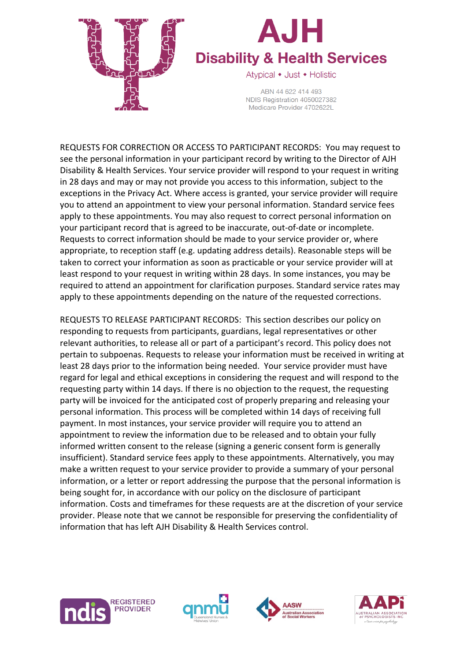



ABN 44 622 414 493 NDIS Registration 4050027382 Medicare Provider 4702622L

REQUESTS FOR CORRECTION OR ACCESS TO PARTICIPANT RECORDS: You may request to see the personal information in your participant record by writing to the Director of AJH Disability & Health Services. Your service provider will respond to your request in writing in 28 days and may or may not provide you access to this information, subject to the exceptions in the Privacy Act. Where access is granted, your service provider will require you to attend an appointment to view your personal information. Standard service fees apply to these appointments. You may also request to correct personal information on your participant record that is agreed to be inaccurate, out-of-date or incomplete. Requests to correct information should be made to your service provider or, where appropriate, to reception staff (e.g. updating address details). Reasonable steps will be taken to correct your information as soon as practicable or your service provider will at least respond to your request in writing within 28 days. In some instances, you may be required to attend an appointment for clarification purposes. Standard service rates may apply to these appointments depending on the nature of the requested corrections.

REQUESTS TO RELEASE PARTICIPANT RECORDS: This section describes our policy on responding to requests from participants, guardians, legal representatives or other relevant authorities, to release all or part of a participant's record. This policy does not pertain to subpoenas. Requests to release your information must be received in writing at least 28 days prior to the information being needed. Your service provider must have regard for legal and ethical exceptions in considering the request and will respond to the requesting party within 14 days. If there is no objection to the request, the requesting party will be invoiced for the anticipated cost of properly preparing and releasing your personal information. This process will be completed within 14 days of receiving full payment. In most instances, your service provider will require you to attend an appointment to review the information due to be released and to obtain your fully informed written consent to the release (signing a generic consent form is generally insufficient). Standard service fees apply to these appointments. Alternatively, you may make a written request to your service provider to provide a summary of your personal information, or a letter or report addressing the purpose that the personal information is being sought for, in accordance with our policy on the disclosure of participant information. Costs and timeframes for these requests are at the discretion of your service provider. Please note that we cannot be responsible for preserving the confidentiality of information that has left AJH Disability & Health Services control.